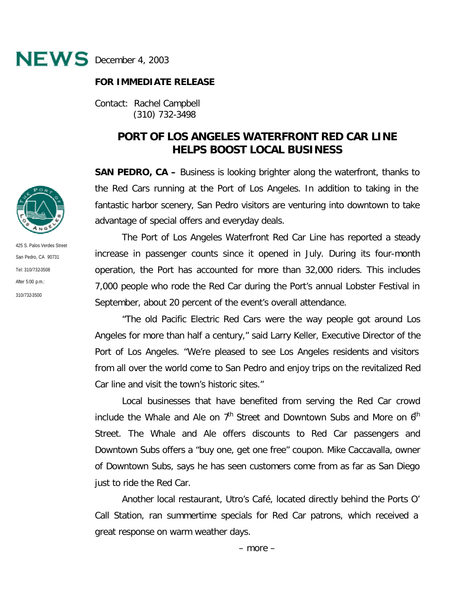

## **FOR IMMEDIATE RELEASE**

Contact: Rachel Campbell (310) 732-3498

## **PORT OF LOS ANGELES WATERFRONT RED CAR LINE HELPS BOOST LOCAL BUSINESS**

**SAN PEDRO, CA –** Business is looking brighter along the waterfront, thanks to the Red Cars running at the Port of Los Angeles. In addition to taking in the fantastic harbor scenery, San Pedro visitors are venturing into downtown to take advantage of special offers and everyday deals.

The Port of Los Angeles Waterfront Red Car Line has reported a steady increase in passenger counts since it opened in July. During its four-month operation, the Port has accounted for more than 32,000 riders. This includes 7,000 people who rode the Red Car during the Port's annual Lobster Festival in September, about 20 percent of the event's overall attendance.

"The old Pacific Electric Red Cars were the way people got around Los Angeles for more than half a century," said Larry Keller, Executive Director of the Port of Los Angeles. "We're pleased to see Los Angeles residents and visitors from all over the world come to San Pedro and enjoy trips on the revitalized Red Car line and visit the town's historic sites."

Local businesses that have benefited from serving the Red Car crowd include the Whale and Ale on  $7<sup>th</sup>$  Street and Downtown Subs and More on  $6<sup>th</sup>$ Street. The Whale and Ale offers discounts to Red Car passengers and Downtown Subs offers a "buy one, get one free" coupon. Mike Caccavalla, owner of Downtown Subs, says he has seen customers come from as far as San Diego just to ride the Red Car.

Another local restaurant, Utro's Café, located directly behind the Ports O' Call Station, ran summertime specials for Red Car patrons, which received a great response on warm weather days.



425 S. Palos Verdes Street San Pedro, CA 90731 Tel: 310/732-3508 After 5:00 p.m.: 310/732-3500